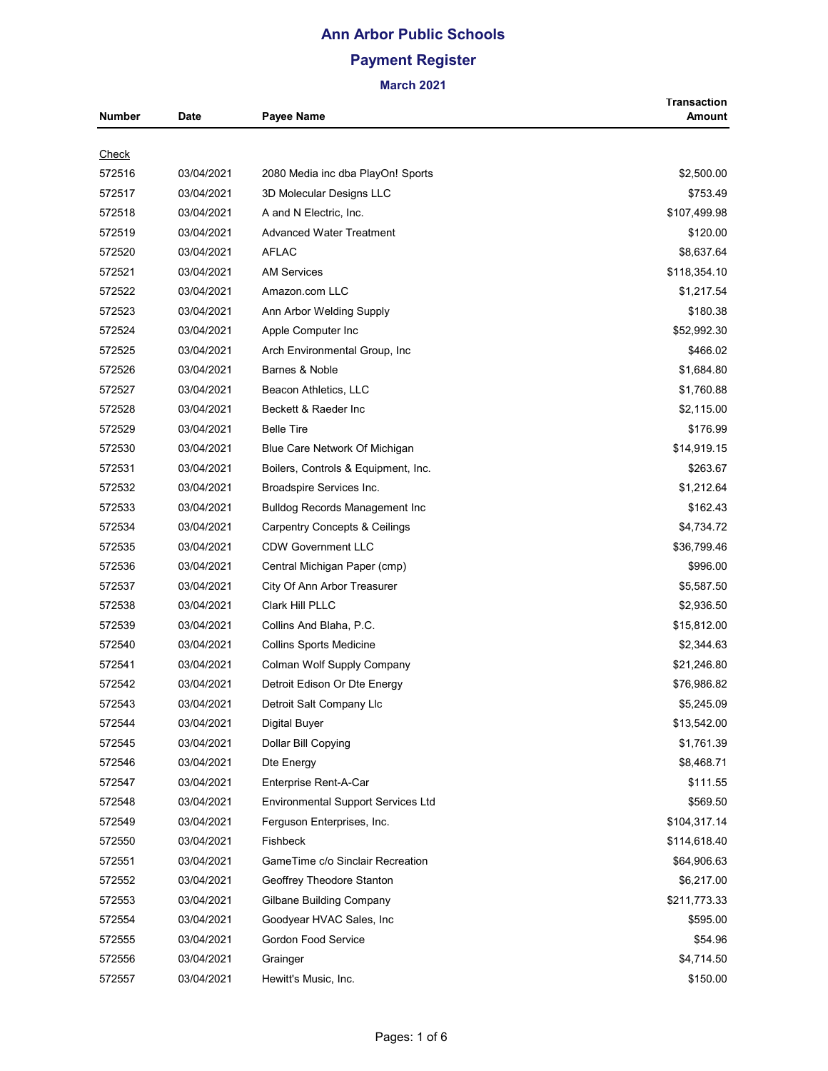# **Ann Arbor Public Schools Payment Register**

| Number       | <b>Date</b> | Payee Name                                | <b>Transaction</b><br>Amount |
|--------------|-------------|-------------------------------------------|------------------------------|
|              |             |                                           |                              |
| <u>Check</u> |             |                                           |                              |
| 572516       | 03/04/2021  | 2080 Media inc dba PlayOn! Sports         | \$2,500.00                   |
| 572517       | 03/04/2021  | 3D Molecular Designs LLC                  | \$753.49                     |
| 572518       | 03/04/2021  | A and N Electric, Inc.                    | \$107,499.98                 |
| 572519       | 03/04/2021  | <b>Advanced Water Treatment</b>           | \$120.00                     |
| 572520       | 03/04/2021  | <b>AFLAC</b>                              | \$8,637.64                   |
| 572521       | 03/04/2021  | <b>AM Services</b>                        | \$118,354.10                 |
| 572522       | 03/04/2021  | Amazon.com LLC                            | \$1,217.54                   |
| 572523       | 03/04/2021  | Ann Arbor Welding Supply                  | \$180.38                     |
| 572524       | 03/04/2021  | Apple Computer Inc                        | \$52,992.30                  |
| 572525       | 03/04/2021  | Arch Environmental Group, Inc.            | \$466.02                     |
| 572526       | 03/04/2021  | Barnes & Noble                            | \$1,684.80                   |
| 572527       | 03/04/2021  | Beacon Athletics, LLC                     | \$1,760.88                   |
| 572528       | 03/04/2021  | Beckett & Raeder Inc                      | \$2,115.00                   |
| 572529       | 03/04/2021  | <b>Belle Tire</b>                         | \$176.99                     |
| 572530       | 03/04/2021  | Blue Care Network Of Michigan             | \$14,919.15                  |
| 572531       | 03/04/2021  | Boilers, Controls & Equipment, Inc.       | \$263.67                     |
| 572532       | 03/04/2021  | Broadspire Services Inc.                  | \$1,212.64                   |
| 572533       | 03/04/2021  | <b>Bulldog Records Management Inc</b>     | \$162.43                     |
| 572534       | 03/04/2021  | <b>Carpentry Concepts &amp; Ceilings</b>  | \$4,734.72                   |
| 572535       | 03/04/2021  | <b>CDW Government LLC</b>                 | \$36,799.46                  |
| 572536       | 03/04/2021  | Central Michigan Paper (cmp)              | \$996.00                     |
| 572537       | 03/04/2021  | City Of Ann Arbor Treasurer               | \$5,587.50                   |
| 572538       | 03/04/2021  | Clark Hill PLLC                           | \$2,936.50                   |
| 572539       | 03/04/2021  | Collins And Blaha, P.C.                   | \$15,812.00                  |
| 572540       | 03/04/2021  | <b>Collins Sports Medicine</b>            | \$2,344.63                   |
| 572541       | 03/04/2021  | Colman Wolf Supply Company                | \$21,246.80                  |
| 572542       | 03/04/2021  | Detroit Edison Or Dte Energy              | \$76,986.82                  |
| 572543       | 03/04/2021  | Detroit Salt Company Llc                  | \$5,245.09                   |
| 572544       | 03/04/2021  | <b>Digital Buyer</b>                      | \$13,542.00                  |
| 572545       | 03/04/2021  | Dollar Bill Copying                       | \$1,761.39                   |
| 572546       | 03/04/2021  | Dte Energy                                | \$8,468.71                   |
| 572547       | 03/04/2021  | Enterprise Rent-A-Car                     | \$111.55                     |
| 572548       | 03/04/2021  | <b>Environmental Support Services Ltd</b> | \$569.50                     |
| 572549       | 03/04/2021  | Ferguson Enterprises, Inc.                | \$104,317.14                 |
| 572550       | 03/04/2021  | Fishbeck                                  | \$114,618.40                 |
| 572551       | 03/04/2021  | GameTime c/o Sinclair Recreation          | \$64,906.63                  |
|              |             |                                           |                              |
| 572552       | 03/04/2021  | Geoffrey Theodore Stanton                 | \$6,217.00                   |
| 572553       | 03/04/2021  | Gilbane Building Company                  | \$211,773.33                 |
| 572554       | 03/04/2021  | Goodyear HVAC Sales, Inc                  | \$595.00                     |
| 572555       | 03/04/2021  | Gordon Food Service                       | \$54.96                      |
| 572556       | 03/04/2021  | Grainger                                  | \$4,714.50                   |
| 572557       | 03/04/2021  | Hewitt's Music, Inc.                      | \$150.00                     |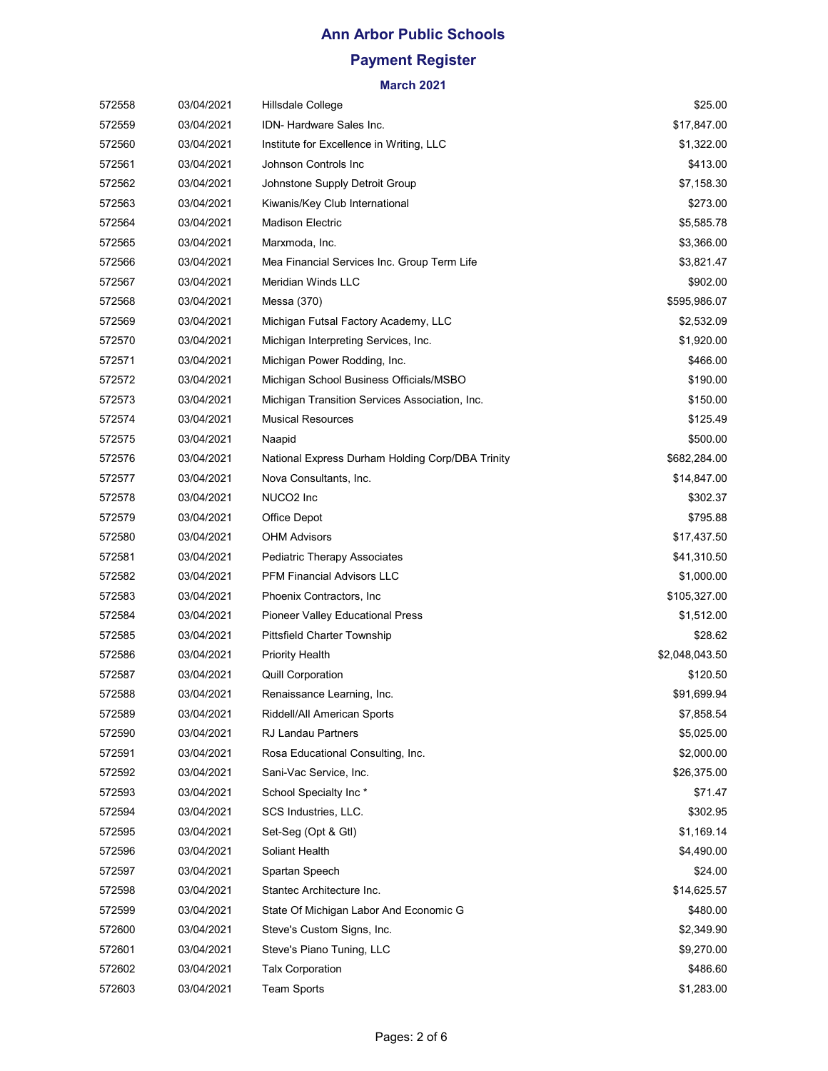# **Payment Register**

| 572558 | 03/04/2021 | Hillsdale College                                | \$25.00        |
|--------|------------|--------------------------------------------------|----------------|
| 572559 | 03/04/2021 | IDN- Hardware Sales Inc.                         | \$17,847.00    |
| 572560 | 03/04/2021 | Institute for Excellence in Writing, LLC         | \$1,322.00     |
| 572561 | 03/04/2021 | Johnson Controls Inc                             | \$413.00       |
| 572562 | 03/04/2021 | Johnstone Supply Detroit Group                   | \$7,158.30     |
| 572563 | 03/04/2021 | Kiwanis/Key Club International                   | \$273.00       |
| 572564 | 03/04/2021 | <b>Madison Electric</b>                          | \$5,585.78     |
| 572565 | 03/04/2021 | Marxmoda, Inc.                                   | \$3,366.00     |
| 572566 | 03/04/2021 | Mea Financial Services Inc. Group Term Life      | \$3,821.47     |
| 572567 | 03/04/2021 | <b>Meridian Winds LLC</b>                        | \$902.00       |
| 572568 | 03/04/2021 | Messa (370)                                      | \$595,986.07   |
| 572569 | 03/04/2021 | Michigan Futsal Factory Academy, LLC             | \$2,532.09     |
| 572570 | 03/04/2021 | Michigan Interpreting Services, Inc.             | \$1,920.00     |
| 572571 | 03/04/2021 | Michigan Power Rodding, Inc.                     | \$466.00       |
| 572572 | 03/04/2021 | Michigan School Business Officials/MSBO          | \$190.00       |
| 572573 | 03/04/2021 | Michigan Transition Services Association, Inc.   | \$150.00       |
| 572574 | 03/04/2021 | <b>Musical Resources</b>                         | \$125.49       |
| 572575 | 03/04/2021 | Naapid                                           | \$500.00       |
| 572576 | 03/04/2021 | National Express Durham Holding Corp/DBA Trinity | \$682,284.00   |
| 572577 | 03/04/2021 | Nova Consultants, Inc.                           | \$14,847.00    |
| 572578 | 03/04/2021 | NUCO <sub>2</sub> Inc                            | \$302.37       |
| 572579 | 03/04/2021 | Office Depot                                     | \$795.88       |
| 572580 | 03/04/2021 | <b>OHM Advisors</b>                              | \$17,437.50    |
| 572581 | 03/04/2021 | <b>Pediatric Therapy Associates</b>              | \$41,310.50    |
| 572582 | 03/04/2021 | <b>PFM Financial Advisors LLC</b>                | \$1,000.00     |
| 572583 | 03/04/2021 | Phoenix Contractors, Inc.                        | \$105,327.00   |
| 572584 | 03/04/2021 | <b>Pioneer Valley Educational Press</b>          | \$1,512.00     |
| 572585 | 03/04/2021 | <b>Pittsfield Charter Township</b>               | \$28.62        |
| 572586 | 03/04/2021 | <b>Priority Health</b>                           | \$2,048,043.50 |
| 572587 | 03/04/2021 | <b>Quill Corporation</b>                         | \$120.50       |
| 572588 | 03/04/2021 | Renaissance Learning, Inc.                       | \$91,699.94    |
| 572589 | 03/04/2021 | Riddell/All American Sports                      | \$7,858.54     |
| 572590 | 03/04/2021 | <b>RJ Landau Partners</b>                        | \$5,025.00     |
| 572591 | 03/04/2021 | Rosa Educational Consulting, Inc.                | \$2,000.00     |
| 572592 | 03/04/2021 | Sani-Vac Service, Inc.                           | \$26,375.00    |
| 572593 | 03/04/2021 | School Specialty Inc*                            | \$71.47        |
| 572594 | 03/04/2021 | SCS Industries, LLC.                             | \$302.95       |
| 572595 | 03/04/2021 | Set-Seg (Opt & Gtl)                              | \$1,169.14     |
| 572596 | 03/04/2021 | Soliant Health                                   | \$4,490.00     |
| 572597 | 03/04/2021 | Spartan Speech                                   | \$24.00        |
| 572598 | 03/04/2021 | Stantec Architecture Inc.                        | \$14,625.57    |
| 572599 | 03/04/2021 | State Of Michigan Labor And Economic G           | \$480.00       |
| 572600 | 03/04/2021 | Steve's Custom Signs, Inc.                       | \$2,349.90     |
| 572601 | 03/04/2021 | Steve's Piano Tuning, LLC                        | \$9,270.00     |
| 572602 | 03/04/2021 | <b>Talx Corporation</b>                          | \$486.60       |
| 572603 | 03/04/2021 | <b>Team Sports</b>                               | \$1,283.00     |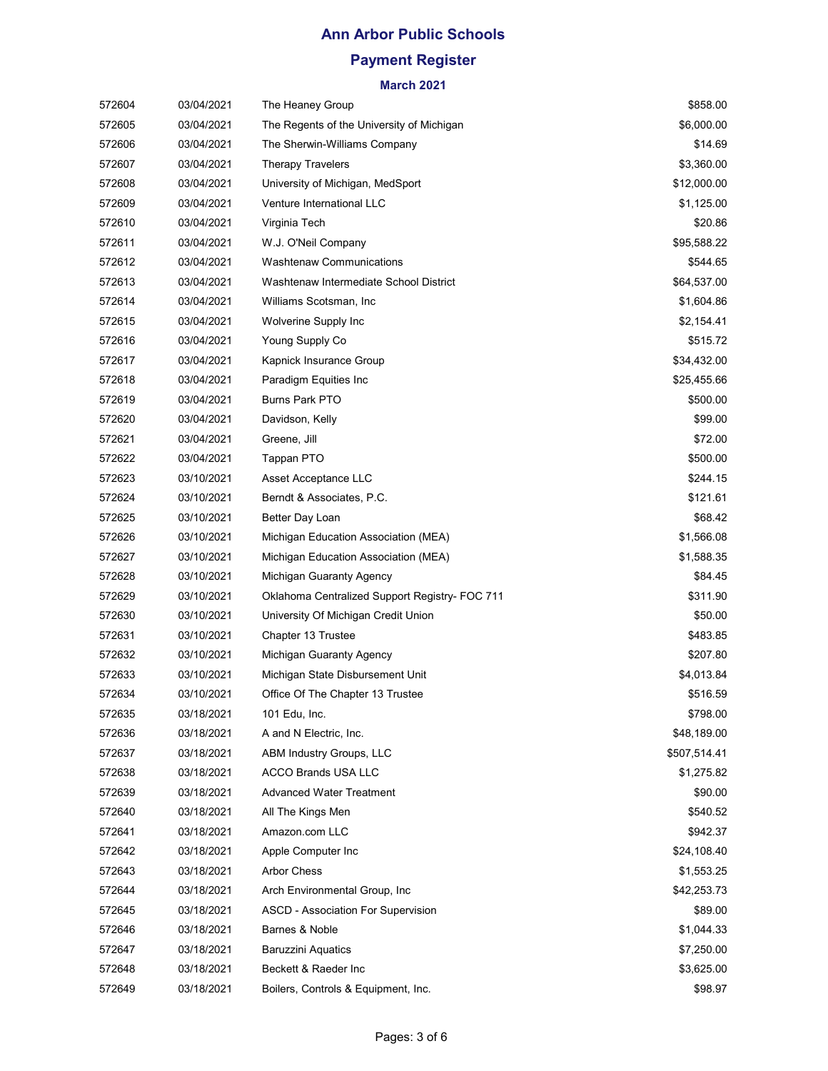# **Payment Register**

| 572604 | 03/04/2021 | The Heaney Group                               | \$858.00     |
|--------|------------|------------------------------------------------|--------------|
| 572605 | 03/04/2021 | The Regents of the University of Michigan      | \$6,000.00   |
| 572606 | 03/04/2021 | The Sherwin-Williams Company                   | \$14.69      |
| 572607 | 03/04/2021 | <b>Therapy Travelers</b>                       | \$3,360.00   |
| 572608 | 03/04/2021 | University of Michigan, MedSport               | \$12,000.00  |
| 572609 | 03/04/2021 | Venture International LLC                      | \$1,125.00   |
| 572610 | 03/04/2021 | Virginia Tech                                  | \$20.86      |
| 572611 | 03/04/2021 | W.J. O'Neil Company                            | \$95,588.22  |
| 572612 | 03/04/2021 | <b>Washtenaw Communications</b>                | \$544.65     |
| 572613 | 03/04/2021 | Washtenaw Intermediate School District         | \$64,537.00  |
| 572614 | 03/04/2021 | Williams Scotsman, Inc.                        | \$1,604.86   |
| 572615 | 03/04/2021 | Wolverine Supply Inc                           | \$2,154.41   |
| 572616 | 03/04/2021 | Young Supply Co                                | \$515.72     |
| 572617 | 03/04/2021 | Kapnick Insurance Group                        | \$34,432.00  |
| 572618 | 03/04/2021 | Paradigm Equities Inc                          | \$25,455.66  |
| 572619 | 03/04/2021 | <b>Burns Park PTO</b>                          | \$500.00     |
| 572620 | 03/04/2021 | Davidson, Kelly                                | \$99.00      |
| 572621 | 03/04/2021 | Greene, Jill                                   | \$72.00      |
| 572622 | 03/04/2021 | Tappan PTO                                     | \$500.00     |
| 572623 | 03/10/2021 | Asset Acceptance LLC                           | \$244.15     |
| 572624 | 03/10/2021 | Berndt & Associates, P.C.                      | \$121.61     |
| 572625 | 03/10/2021 | Better Day Loan                                | \$68.42      |
| 572626 | 03/10/2021 | Michigan Education Association (MEA)           | \$1,566.08   |
| 572627 | 03/10/2021 | Michigan Education Association (MEA)           | \$1,588.35   |
| 572628 | 03/10/2021 | Michigan Guaranty Agency                       | \$84.45      |
| 572629 | 03/10/2021 | Oklahoma Centralized Support Registry- FOC 711 | \$311.90     |
| 572630 | 03/10/2021 | University Of Michigan Credit Union            | \$50.00      |
| 572631 | 03/10/2021 | Chapter 13 Trustee                             | \$483.85     |
| 572632 | 03/10/2021 | Michigan Guaranty Agency                       | \$207.80     |
| 572633 | 03/10/2021 | Michigan State Disbursement Unit               | \$4,013.84   |
| 572634 | 03/10/2021 | Office Of The Chapter 13 Trustee               | \$516.59     |
| 572635 | 03/18/2021 | 101 Edu, Inc.                                  | \$798.00     |
| 572636 | 03/18/2021 | A and N Electric, Inc.                         | \$48,189.00  |
| 572637 | 03/18/2021 | ABM Industry Groups, LLC                       | \$507,514.41 |
| 572638 | 03/18/2021 | <b>ACCO Brands USA LLC</b>                     | \$1,275.82   |
| 572639 | 03/18/2021 | <b>Advanced Water Treatment</b>                | \$90.00      |
| 572640 | 03/18/2021 | All The Kings Men                              | \$540.52     |
| 572641 | 03/18/2021 | Amazon.com LLC                                 | \$942.37     |
| 572642 | 03/18/2021 | Apple Computer Inc                             | \$24,108.40  |
| 572643 | 03/18/2021 | <b>Arbor Chess</b>                             | \$1,553.25   |
| 572644 | 03/18/2021 | Arch Environmental Group, Inc.                 | \$42,253.73  |
| 572645 | 03/18/2021 | ASCD - Association For Supervision             | \$89.00      |
| 572646 | 03/18/2021 | Barnes & Noble                                 | \$1,044.33   |
| 572647 | 03/18/2021 | <b>Baruzzini Aquatics</b>                      | \$7,250.00   |
| 572648 | 03/18/2021 | Beckett & Raeder Inc                           | \$3,625.00   |
| 572649 | 03/18/2021 | Boilers, Controls & Equipment, Inc.            | \$98.97      |
|        |            |                                                |              |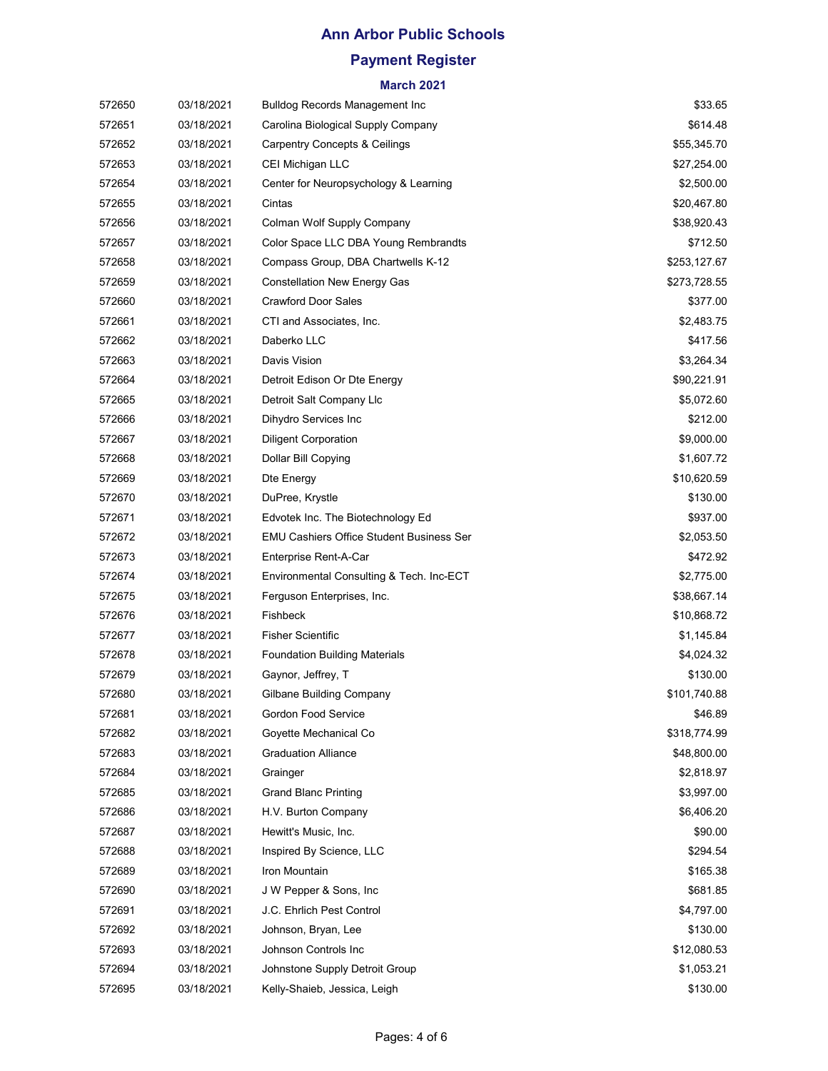# **Payment Register**

| 572650 | 03/18/2021 | <b>Bulldog Records Management Inc</b>           | \$33.65      |
|--------|------------|-------------------------------------------------|--------------|
| 572651 | 03/18/2021 | Carolina Biological Supply Company              | \$614.48     |
| 572652 | 03/18/2021 | <b>Carpentry Concepts &amp; Ceilings</b>        | \$55,345.70  |
| 572653 | 03/18/2021 | CEI Michigan LLC                                | \$27,254.00  |
| 572654 | 03/18/2021 | Center for Neuropsychology & Learning           | \$2,500.00   |
| 572655 | 03/18/2021 | Cintas                                          | \$20,467.80  |
| 572656 | 03/18/2021 | Colman Wolf Supply Company                      | \$38,920.43  |
| 572657 | 03/18/2021 | Color Space LLC DBA Young Rembrandts            | \$712.50     |
| 572658 | 03/18/2021 | Compass Group, DBA Chartwells K-12              | \$253,127.67 |
| 572659 | 03/18/2021 | <b>Constellation New Energy Gas</b>             | \$273,728.55 |
| 572660 | 03/18/2021 | <b>Crawford Door Sales</b>                      | \$377.00     |
| 572661 | 03/18/2021 | CTI and Associates, Inc.                        | \$2,483.75   |
| 572662 | 03/18/2021 | Daberko LLC                                     | \$417.56     |
| 572663 | 03/18/2021 | Davis Vision                                    | \$3,264.34   |
| 572664 | 03/18/2021 | Detroit Edison Or Dte Energy                    | \$90,221.91  |
| 572665 | 03/18/2021 | Detroit Salt Company Llc                        | \$5,072.60   |
| 572666 | 03/18/2021 | Dihydro Services Inc                            | \$212.00     |
| 572667 | 03/18/2021 | <b>Diligent Corporation</b>                     | \$9,000.00   |
| 572668 | 03/18/2021 | Dollar Bill Copying                             | \$1,607.72   |
| 572669 | 03/18/2021 | Dte Energy                                      | \$10,620.59  |
| 572670 | 03/18/2021 | DuPree, Krystle                                 | \$130.00     |
| 572671 | 03/18/2021 | Edvotek Inc. The Biotechnology Ed               | \$937.00     |
| 572672 | 03/18/2021 | <b>EMU Cashiers Office Student Business Ser</b> | \$2,053.50   |
| 572673 | 03/18/2021 | Enterprise Rent-A-Car                           | \$472.92     |
| 572674 | 03/18/2021 | Environmental Consulting & Tech. Inc-ECT        | \$2,775.00   |
| 572675 | 03/18/2021 | Ferguson Enterprises, Inc.                      | \$38,667.14  |
| 572676 | 03/18/2021 | Fishbeck                                        | \$10,868.72  |
| 572677 | 03/18/2021 | <b>Fisher Scientific</b>                        | \$1,145.84   |
| 572678 | 03/18/2021 | <b>Foundation Building Materials</b>            | \$4,024.32   |
| 572679 | 03/18/2021 | Gaynor, Jeffrey, T                              | \$130.00     |
| 572680 | 03/18/2021 | <b>Gilbane Building Company</b>                 | \$101,740.88 |
| 572681 | 03/18/2021 | Gordon Food Service                             | \$46.89      |
| 572682 | 03/18/2021 | Goyette Mechanical Co                           | \$318,774.99 |
| 572683 | 03/18/2021 | <b>Graduation Alliance</b>                      | \$48,800.00  |
| 572684 | 03/18/2021 | Grainger                                        | \$2,818.97   |
| 572685 | 03/18/2021 | <b>Grand Blanc Printing</b>                     | \$3,997.00   |
| 572686 | 03/18/2021 | H.V. Burton Company                             | \$6,406.20   |
| 572687 | 03/18/2021 | Hewitt's Music, Inc.                            | \$90.00      |
| 572688 | 03/18/2021 | Inspired By Science, LLC                        | \$294.54     |
| 572689 | 03/18/2021 | Iron Mountain                                   | \$165.38     |
| 572690 | 03/18/2021 | J W Pepper & Sons, Inc.                         | \$681.85     |
| 572691 | 03/18/2021 | J.C. Ehrlich Pest Control                       | \$4,797.00   |
| 572692 | 03/18/2021 | Johnson, Bryan, Lee                             | \$130.00     |
| 572693 | 03/18/2021 | Johnson Controls Inc                            | \$12,080.53  |
| 572694 | 03/18/2021 | Johnstone Supply Detroit Group                  | \$1,053.21   |
| 572695 | 03/18/2021 | Kelly-Shaieb, Jessica, Leigh                    | \$130.00     |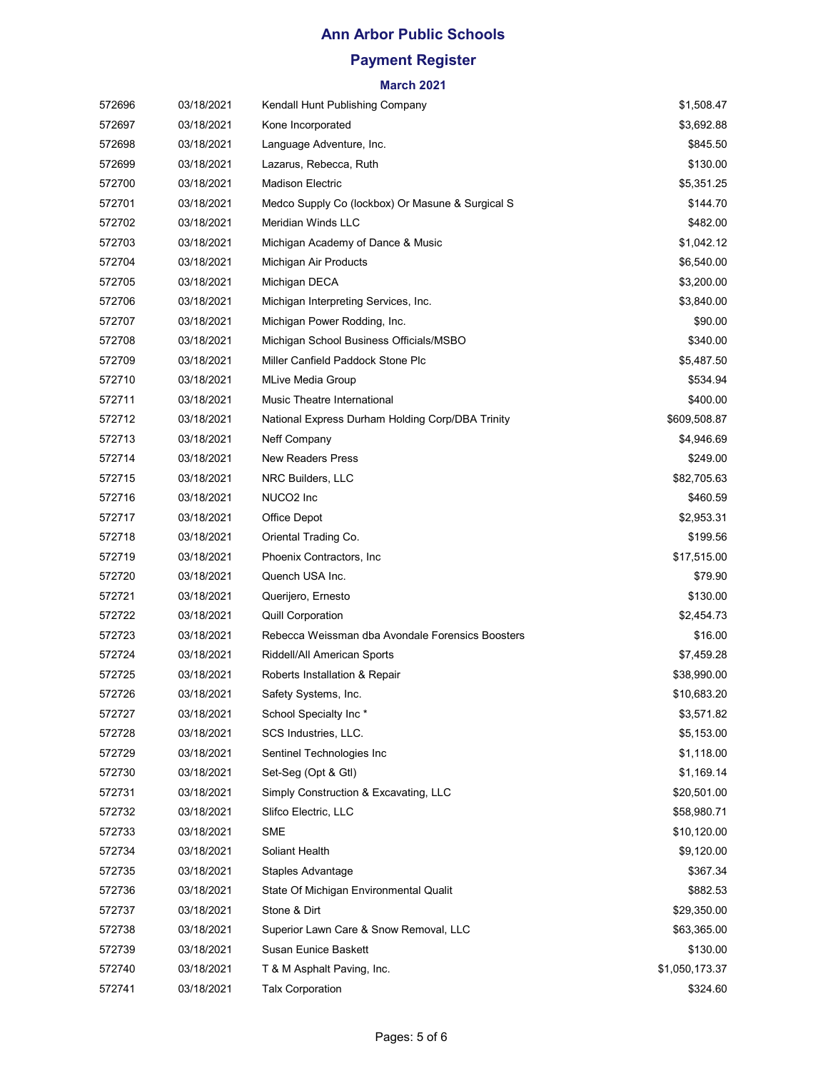# **Payment Register**

| 572696 | 03/18/2021 | Kendall Hunt Publishing Company                  | \$1,508.47     |
|--------|------------|--------------------------------------------------|----------------|
| 572697 | 03/18/2021 | Kone Incorporated                                | \$3,692.88     |
| 572698 | 03/18/2021 | Language Adventure, Inc.                         | \$845.50       |
| 572699 | 03/18/2021 | Lazarus, Rebecca, Ruth                           | \$130.00       |
| 572700 | 03/18/2021 | <b>Madison Electric</b>                          | \$5,351.25     |
| 572701 | 03/18/2021 | Medco Supply Co (lockbox) Or Masune & Surgical S | \$144.70       |
| 572702 | 03/18/2021 | Meridian Winds LLC                               | \$482.00       |
| 572703 | 03/18/2021 | Michigan Academy of Dance & Music                | \$1,042.12     |
| 572704 | 03/18/2021 | Michigan Air Products                            | \$6,540.00     |
| 572705 | 03/18/2021 | Michigan DECA                                    | \$3,200.00     |
| 572706 | 03/18/2021 | Michigan Interpreting Services, Inc.             | \$3,840.00     |
| 572707 | 03/18/2021 | Michigan Power Rodding, Inc.                     | \$90.00        |
| 572708 | 03/18/2021 | Michigan School Business Officials/MSBO          | \$340.00       |
| 572709 | 03/18/2021 | Miller Canfield Paddock Stone Plc                | \$5,487.50     |
| 572710 | 03/18/2021 | MLive Media Group                                | \$534.94       |
| 572711 | 03/18/2021 | Music Theatre International                      | \$400.00       |
| 572712 | 03/18/2021 | National Express Durham Holding Corp/DBA Trinity | \$609,508.87   |
| 572713 | 03/18/2021 | Neff Company                                     | \$4,946.69     |
| 572714 | 03/18/2021 | <b>New Readers Press</b>                         | \$249.00       |
| 572715 | 03/18/2021 | NRC Builders, LLC                                | \$82,705.63    |
| 572716 | 03/18/2021 | NUCO <sub>2</sub> Inc                            | \$460.59       |
| 572717 | 03/18/2021 | Office Depot                                     | \$2,953.31     |
| 572718 | 03/18/2021 | Oriental Trading Co.                             | \$199.56       |
| 572719 | 03/18/2021 | Phoenix Contractors, Inc.                        | \$17,515.00    |
| 572720 | 03/18/2021 | Quench USA Inc.                                  | \$79.90        |
| 572721 | 03/18/2021 | Querijero, Ernesto                               | \$130.00       |
| 572722 | 03/18/2021 | <b>Quill Corporation</b>                         | \$2,454.73     |
| 572723 | 03/18/2021 | Rebecca Weissman dba Avondale Forensics Boosters | \$16.00        |
| 572724 | 03/18/2021 | Riddell/All American Sports                      | \$7,459.28     |
| 572725 | 03/18/2021 | Roberts Installation & Repair                    | \$38,990.00    |
| 572726 | 03/18/2021 | Safety Systems, Inc.                             | \$10,683.20    |
| 572727 | 03/18/2021 | School Specialty Inc*                            | \$3,571.82     |
| 572728 | 03/18/2021 | SCS Industries, LLC.                             | \$5,153.00     |
| 572729 | 03/18/2021 | Sentinel Technologies Inc                        | \$1,118.00     |
| 572730 | 03/18/2021 | Set-Seg (Opt & Gtl)                              | \$1,169.14     |
| 572731 | 03/18/2021 | Simply Construction & Excavating, LLC            | \$20,501.00    |
| 572732 | 03/18/2021 | Slifco Electric, LLC                             | \$58,980.71    |
| 572733 | 03/18/2021 | <b>SME</b>                                       | \$10,120.00    |
| 572734 | 03/18/2021 | Soliant Health                                   | \$9,120.00     |
| 572735 | 03/18/2021 | Staples Advantage                                | \$367.34       |
| 572736 | 03/18/2021 | State Of Michigan Environmental Qualit           | \$882.53       |
| 572737 | 03/18/2021 | Stone & Dirt                                     | \$29,350.00    |
| 572738 | 03/18/2021 | Superior Lawn Care & Snow Removal, LLC           | \$63,365.00    |
| 572739 | 03/18/2021 | Susan Eunice Baskett                             | \$130.00       |
| 572740 | 03/18/2021 | T & M Asphalt Paving, Inc.                       | \$1,050,173.37 |
| 572741 | 03/18/2021 | <b>Talx Corporation</b>                          | \$324.60       |